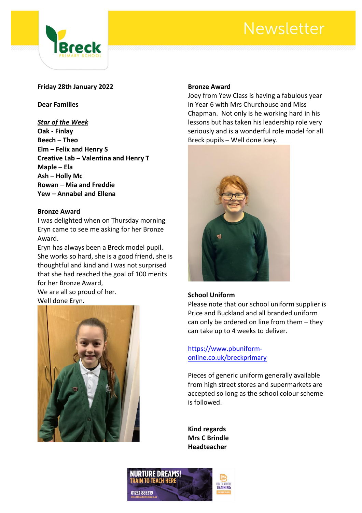# **Newsletter**



### **Friday 28th January 2022**

**Dear Families**

#### *Star of the Week*

**Oak - Finlay Beech – Theo Elm – Felix and Henry S Creative Lab – Valentina and Henry T Maple – Ela Ash – Holly Mc Rowan – Mia and Freddie Yew – Annabel and Ellena**

#### **Bronze Award**

I was delighted when on Thursday morning Eryn came to see me asking for her Bronze Award.

Eryn has always been a Breck model pupil. She works so hard, she is a good friend, she is thoughtful and kind and I was not surprised that she had reached the goal of 100 merits for her Bronze Award,

We are all so proud of her. Well done Eryn.



#### **Bronze Award**

Joey from Yew Class is having a fabulous year in Year 6 with Mrs Churchouse and Miss Chapman. Not only is he working hard in his lessons but has taken his leadership role very seriously and is a wonderful role model for all Breck pupils – Well done Joey.



#### **School Uniform**

Please note that our school uniform supplier is Price and Buckland and all branded uniform can only be ordered on line from them – they can take up to 4 weeks to deliver.

[https://www.pbuniform](https://www.pbuniform-online.co.uk/breckprimary)[online.co.uk/breckprimary](https://www.pbuniform-online.co.uk/breckprimary)

Pieces of generic uniform generally available from high street stores and supermarkets are accepted so long as the school colour scheme is followed.

**Kind regards Mrs C Brindle Headteacher**